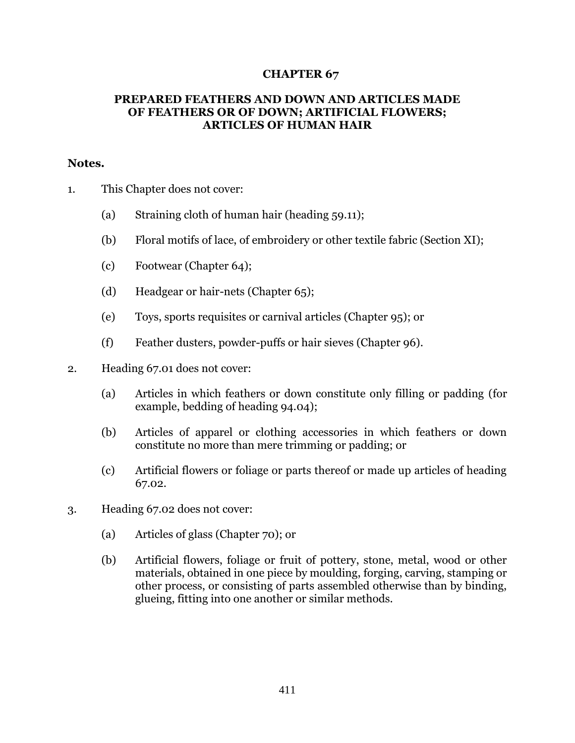## **CHAPTER 67**

## **PREPARED FEATHERS AND DOWN AND ARTICLES MADE OF FEATHERS OR OF DOWN; ARTIFICIAL FLOWERS; ARTICLES OF HUMAN HAIR**

## **Notes.**

- 1. This Chapter does not cover:
	- (a) Straining cloth of human hair (heading 59.11);
	- (b) Floral motifs of lace, of embroidery or other textile fabric (Section XI);
	- (c) Footwear (Chapter 64);
	- (d) Headgear or hair-nets (Chapter 65);
	- (e) Toys, sports requisites or carnival articles (Chapter 95); or
	- (f) Feather dusters, powder-puffs or hair sieves (Chapter 96).
- 2. Heading 67.01 does not cover:
	- (a) Articles in which feathers or down constitute only filling or padding (for example, bedding of heading 94.04);
	- (b) Articles of apparel or clothing accessories in which feathers or down constitute no more than mere trimming or padding; or
	- (c) Artificial flowers or foliage or parts thereof or made up articles of heading 67.02.
- 3. Heading 67.02 does not cover:
	- (a) Articles of glass (Chapter 70); or
	- (b) Artificial flowers, foliage or fruit of pottery, stone, metal, wood or other materials, obtained in one piece by moulding, forging, carving, stamping or other process, or consisting of parts assembled otherwise than by binding, glueing, fitting into one another or similar methods.